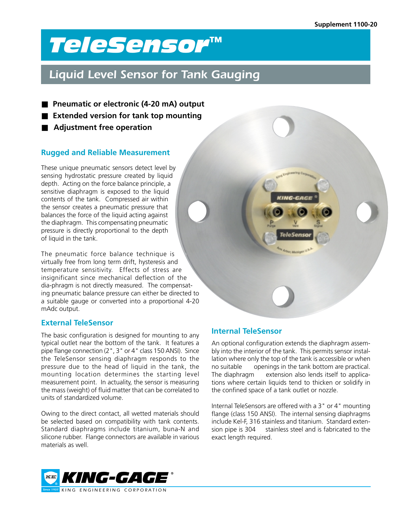# *TeleSensor*™

## *Liquid Level Sensor for Tank Gauging*

- **Pneumatic or electronic (4-20 mA) output**
- **Extended version for tank top mounting**
- Adjustment free operation

## **Rugged and Reliable Measurement**

These unique pneumatic sensors detect level by sensing hydrostatic pressure created by liquid depth. Acting on the force balance principle, a sensitive diaphragm is exposed to the liquid contents of the tank. Compressed air within the sensor creates a pneumatic pressure that balances the force of the liquid acting against the diaphragm. This compensating pneumatic pressure is directly proportional to the depth of liquid in the tank.

The pneumatic force balance technique is virtually free from long term drift, hysteresis and temperature sensitivity. Effects of stress are insignificant since mechanical deflection of the dia-phragm is not directly measured. The compensating pneumatic balance pressure can either be directed to a suitable gauge or converted into a proportional 4-20 mAdc output.

### **External TeleSensor**

The basic configuration is designed for mounting to any typical outlet near the bottom of the tank. It features a pipe flange connection (2", 3" or 4" class 150 ANSI). Since the TeleSensor sensing diaphragm responds to the pressure due to the head of liquid in the tank, the mounting location determines the starting level measurement point. In actuality, the sensor is measuring the mass (weight) of fluid matter that can be correlated to units of standardized volume.

Owing to the direct contact, all wetted materials should be selected based on compatibility with tank contents. Standard diaphragms include titanium, buna-N and silicone rubber. Flange connectors are available in various materials as well.



## **Internal TeleSensor**

An optional configuration extends the diaphragm assembly into the interior of the tank. This permits sensor installation where only the top of the tank is accessible or when no suitable openings in the tank bottom are practical. The diaphragm extension also lends itself to applications where certain liquids tend to thicken or solidify in the confined space of a tank outlet or nozzle.

Internal TeleSensors are offered with a 3" or 4" mounting flange (class 150 ANSI). The internal sensing diaphragms include Kel-F, 316 stainless and titanium. Standard extension pipe is 304 stainless steel and is fabricated to the exact length required.

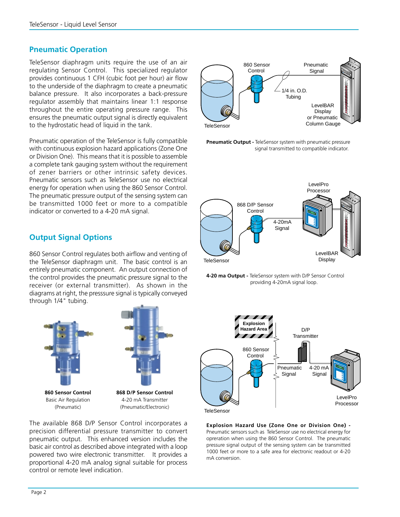### **Pneumatic Operation**

TeleSensor diaphragm units require the use of an air regulating Sensor Control. This specialized regulator provides continuous 1 CFH (cubic foot per hour) air flow to the underside of the diaphragm to create a pneumatic balance pressure. It also incorporates a back-pressure regulator assembly that maintains linear 1:1 response throughout the entire operating pressure range. This ensures the pneumatic output signal is directly equivalent to the hydrostatic head of liquid in the tank.

Pneumatic operation of the TeleSensor is fully compatible with continuous explosion hazard applications (Zone One or Division One). This means that it is possible to assemble a complete tank gauging system without the requirement of zener barriers or other intrinsic safety devices. Pneumatic sensors such as TeleSensor use no electrical energy for operation when using the 860 Sensor Control. The pneumatic pressure output of the sensing system can be transmitted 1000 feet or more to a compatible indicator or converted to a 4-20 mA signal.



**Pneumatic Output -** TeleSensor system with pneumatic pressure signal transmitted to compatible indicator.



**4-20 ma Output -** TeleSensor system with D/P Sensor Control providing 4-20mA signal loop.





**Explosion Hazard Use (Zone One or Division One) -** Pneumatic sensors such as TeleSensor use no electrical energy for opreration when using the 860 Sensor Control. The pneumatic pressure signal output of the sensing system can be transmitted 1000 feet or more to a safe area for electronic readout or 4-20 mA conversion.

## **Output Signal Options**

860 Sensor Control regulates both airflow and venting of the TeleSensor diaphragm unit. The basic control is an entirely pneumatic component. An output connection of the control provides the pneumatic pressure signal to the receiver (or external transmitter). As shown in the diagrams at right, the presssure signal is typically conveyed through 1/4" tubing.



The available 868 D/P Sensor Control incorporates a precision differential pressure transmitter to convert pneumatic output. This enhanced version includes the basic air control as described above integrated with a loop powered two wire electronic transmitter. It provides a proportional 4-20 mA analog signal suitable for process control or remote level indication.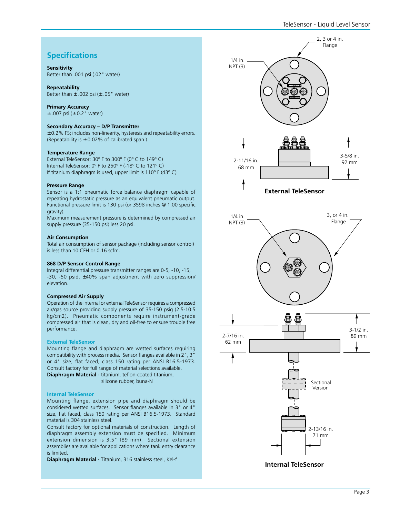## **Specifications**

#### **Sensitivity**

Better than .001 psi (.02" water)

**Repeatability**

Better than  $\pm$  .002 psi ( $\pm$  .05" water)

**Primary Accuracy**

 $±$  .007 psi ( $±$  0.2" water)

#### **Secondary Accuracy – D/P Transmitter**

± 0.2% FS; includes non-linearity, hysteresis and repeatability errors. (Repeatability is  $\pm$  0.02% of calibrated span)

#### **Temperature Range**

External TeleSensor: 30° F to 300° F (0° C to 149° C) Internal TeleSensor: 0º F to 250º F (-18º C to 121º C) If titanium diaphragm is used, upper limit is  $110^{\circ}$  F (43 $^{\circ}$  C)

#### **Pressure Range**

Sensor is a 1:1 pneumatic force balance diaphragm capable of repeating hydrostatic pressure as an equivalent pneumatic output. Functional pressure limit is 130 psi (or 3598 inches @ 1.00 specific gravity).

Maximum measurement pressure is determined by compressed air supply pressure (35-150 psi) less 20 psi.

#### **Air Consumption**

Total air consumption of sensor package (including sensor control) is less than 10 CFH or 0.16 scfm.

#### **868 D/P Sensor Control Range**

Integral differential pressure transmitter ranges are 0-5, -10, -15, -30, -50 psid. ±40% span adjustment with zero suppression/ elevation.

#### **Compressed Air Supply**

Operation of the internal or external TeleSensor requires a compressed air/gas source providing supply pressure of 35-150 psig (2.5-10.5 kg/cm2). Pneumatic components require instrument-grade compressed air that is clean, dry and oil-free to ensure trouble free performance.

#### **External TeleSensor**

Mounting flange and diaphragm are wetted surfaces requiring compatibility with process media. Sensor flanges available in 2", 3" or 4" size, flat faced, class 150 rating per ANSI B16.5-1973. Consult factory for full range of material selections available. **Diaphragm Material -** titanium, teflon-coated titanium, silicone rubber, buna-N

#### **Internal TeleSensor**

Mounting flange, extension pipe and diaphragm should be considered wetted surfaces. Sensor flanges available in 3" or 4" size, flat faced, class 150 rating per ANSI B16.5-1973. Standard material is 304 stainless steel.

Consult factory for optional materials of construction. Length of diaphragm assembly extension must be specified. Minimum extension dimension is 3.5" (89 mm). Sectional extension assemblies are available for applications where tank entry clearance is limited.

**Diaphragm Material -** Titanium, 316 stainless steel, Kel-f



**Internal TeleSensor**